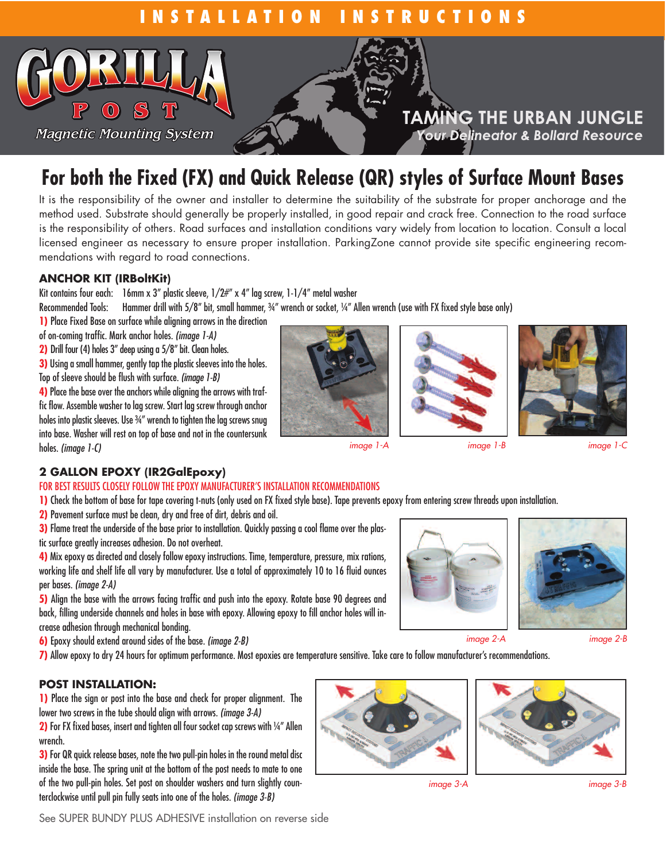

# **For both the Fixed (FX) and Quick Release (QR) styles of Surface Mount Bases**

It is the responsibility of the owner and installer to determine the suitability of the substrate for proper anchorage and the method used. Substrate should generally be properly installed, in good repair and crack free. Connection to the road surface is the responsibility of others. Road surfaces and installation conditions vary widely from location to location. Consult a local licensed engineer as necessary to ensure proper installation. ParkingZone cannot provide site specific engineering recommendations with regard to road connections.

### **ANCHOR KIT (IRBoltKit)**

Kit contains four each: 16mm x 3" plastic sleeve,  $1/2\#$ " x 4" lag screw, 1-1/4" metal washer

Recommended Tools: Hammer drill with 5/8" bit, small hammer, ¾" wrench or socket, ¼" Allen wrench (use with FX fixed style base only)

- **1)** Place Fixed Base on surface while aligning arrows in the direction
- of on-coming traffic. Mark anchor holes. *(image 1-A)*
- **2)** Drill four (4) holes 3" deep using a 5/8" bit. Clean holes.
- **3)** Using a small hammer, gently tap the plastic sleeves into the holes. Top of sleeve should be flush with surface. *(image 1-B)*

4) Place the base over the anchors while aligning the arrows with traffic flow. Assemble washer to lag screw. Start lag screw through anchor holes into plastic sleeves. Use 34" wrench to tighten the lag screws snug into base. Washer will rest on top of base and not in the countersunk holes. *(image 1-C)*



*image 1-A image 1-B image 1-C*





# **2 GALLON EPOXY (IR2GalEpoxy)**

#### FOR BEST RESULTS CLOSELY FOLLOW THE FPOXY MANUFACTURER'S INSTALLATION RECOMMENDATIONS

**1)** Check the bottom of base for tape covering t-nuts (only used on FX fixed style base). Tape prevents epoxy from entering screw threads upon installation.

- **2)** Pavement surface must be clean, dry and free of dirt, debris and oil.
- **3)** Flame treat the underside of the base prior to installation. Quickly passing a cool flame over the plas-
- tic surface greatly increases adhesion. Do not overheat.

4) Mix epoxy as directed and closely follow epoxy instructions. Time, temperature, pressure, mix rations, working life and shelf life all vary by manufacturer. Use a total of approximately 10 to 16 fluid ounces per bases. *(image 2-A)*

**5)** Align the base with the arrows facing traffic and push into the epoxy. Rotate base 90 degrees and back, filling underside channels and holes in base with epoxy. Allowing epoxy to fill anchor holes will increase adhesion through mechanical bonding.

**6)** Epoxy should extend around sides of the base. *(image 2-B)*

**7)** Allow epoxy to dry 24 hours for optimum performance. Most epoxies are temperature sensitive. Take care to follow manufacturer's recommendations.

# **POST INSTALLATION:**

**1)** Place the sign or post into the base and check for proper alignment. The lower two screws in the tube should align with arrows. *(image 3-A)*

**2)** For FX fixed bases, insert and tighten all four socket cap screws with ¼" Allen wrench.

**3)** For QR quick release bases, note the two pull-pin holes in the round metal disc inside the base. The spring unit at the bottom of the post needs to mate to one of the two pull-pin holes. Set post on shoulder washers and turn slightly counterclockwise until pull pin fully seats into one of the holes. *(image 3-B)*





*image 2-A image 2-B*

*image 3-A image 3-B*

See SUPER BUNDY PLUS ADHESIVE installation on reverse side